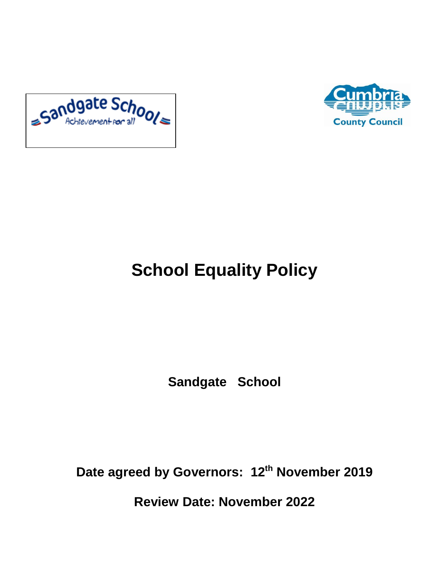



# **School Equality Policy**

**Sandgate School**

**Date agreed by Governors: 12th November 2019**

**Review Date: November 2022**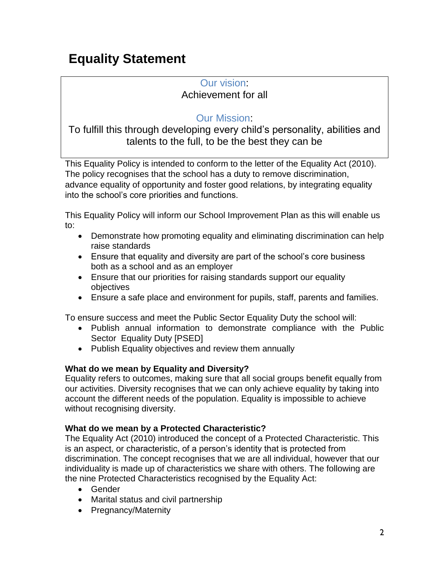### **Equality Statement**

### Our vision:

### Achievement for all

### Our Mission:

To fulfill this through developing every child's personality, abilities and talents to the full, to be the best they can be

This Equality Policy is intended to conform to the letter of the Equality Act (2010). The policy recognises that the school has a duty to remove discrimination, advance equality of opportunity and foster good relations, by integrating equality into the school's core priorities and functions.

This Equality Policy will inform our School Improvement Plan as this will enable us to:

- Demonstrate how promoting equality and eliminating discrimination can help raise standards
- Ensure that equality and diversity are part of the school's core business both as a school and as an employer
- Ensure that our priorities for raising standards support our equality objectives
- Ensure a safe place and environment for pupils, staff, parents and families.

To ensure success and meet the Public Sector Equality Duty the school will:

- Publish annual information to demonstrate compliance with the Public Sector Equality Duty [PSED]
- Publish Equality objectives and review them annually

### **What do we mean by Equality and Diversity?**

Equality refers to outcomes, making sure that all social groups benefit equally from our activities. Diversity recognises that we can only achieve equality by taking into account the different needs of the population. Equality is impossible to achieve without recognising diversity.

### **What do we mean by a Protected Characteristic?**

The Equality Act (2010) introduced the concept of a Protected Characteristic. This is an aspect, or characteristic, of a person's identity that is protected from discrimination. The concept recognises that we are all individual, however that our individuality is made up of characteristics we share with others. The following are the nine Protected Characteristics recognised by the Equality Act:

- Gender
- Marital status and civil partnership
- Pregnancy/Maternity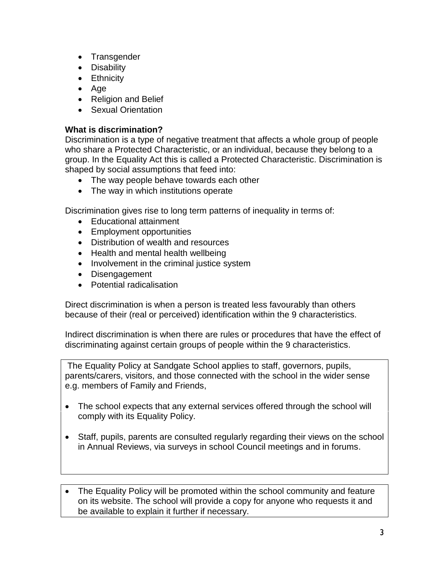- Transgender
- Disability
- **•** Ethnicity
- Age
- Religion and Belief
- Sexual Orientation

### **What is discrimination?**

Discrimination is a type of negative treatment that affects a whole group of people who share a Protected Characteristic, or an individual, because they belong to a group. In the Equality Act this is called a Protected Characteristic. Discrimination is shaped by social assumptions that feed into:

- The way people behave towards each other
- The way in which institutions operate

Discrimination gives rise to long term patterns of inequality in terms of:

- Educational attainment
- Employment opportunities
- Distribution of wealth and resources
- Health and mental health wellbeing
- Involvement in the criminal justice system
- Disengagement
- Potential radicalisation

Direct discrimination is when a person is treated less favourably than others because of their (real or perceived) identification within the 9 characteristics.

Indirect discrimination is when there are rules or procedures that have the effect of discriminating against certain groups of people within the 9 characteristics.

The Equality Policy at Sandgate School applies to staff, governors, pupils, parents/carers, visitors, and those connected with the school in the wider sense e.g. members of Family and Friends,

- The school expects that any external services offered through the school will comply with its Equality Policy.
- Staff, pupils, parents are consulted regularly regarding their views on the school in Annual Reviews, via surveys in school Council meetings and in forums.

• The Equality Policy will be promoted within the school community and feature on its website. The school will provide a copy for anyone who requests it and be available to explain it further if necessary.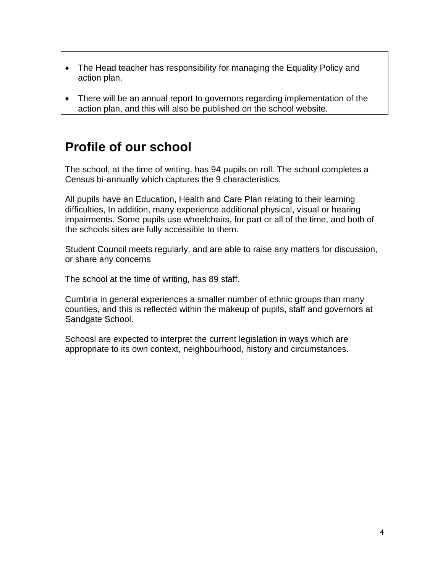- The Head teacher has responsibility for managing the Equality Policy and action plan.
- There will be an annual report to governors regarding implementation of the action plan, and this will also be published on the school website.

### **Profile of our school**

The school, at the time of writing, has 94 pupils on roll. The school completes a Census bi-annually which captures the 9 characteristics.

All pupils have an Education, Health and Care Plan relating to their learning difficulties, In addition, many experience additional physical, visual or hearing impairments. Some pupils use wheelchairs, for part or all of the time, and both of the schools sites are fully accessible to them.

Student Council meets regularly, and are able to raise any matters for discussion, or share any concerns

The school at the time of writing, has 89 staff.

Cumbria in general experiences a smaller number of ethnic groups than many counties, and this is reflected within the makeup of pupils, staff and governors at Sandgate School.

Schoosl are expected to interpret the current legislation in ways which are appropriate to its own context, neighbourhood, history and circumstances.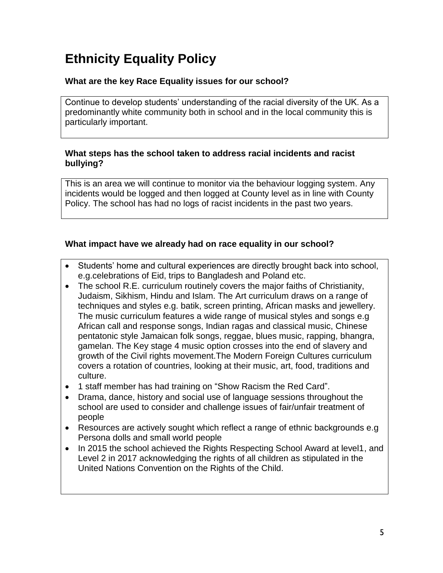# **Ethnicity Equality Policy**

### **What are the key Race Equality issues for our school?**

Continue to develop students' understanding of the racial diversity of the UK. As a predominantly white community both in school and in the local community this is particularly important.

### **What steps has the school taken to address racial incidents and racist bullying?**

This is an area we will continue to monitor via the behaviour logging system. Any incidents would be logged and then logged at County level as in line with County Policy. The school has had no logs of racist incidents in the past two years.

### **What impact have we already had on race equality in our school?**

- Students' home and cultural experiences are directly brought back into school, e.g.celebrations of Eid, trips to Bangladesh and Poland etc.
- The school R.E. curriculum routinely covers the major faiths of Christianity, Judaism, Sikhism, Hindu and Islam. The Art curriculum draws on a range of techniques and styles e.g. batik, screen printing, African masks and jewellery. The music curriculum features a wide range of musical styles and songs e.g African call and response songs, Indian ragas and classical music, Chinese pentatonic style Jamaican folk songs, reggae, blues music, rapping, bhangra, gamelan. The Key stage 4 music option crosses into the end of slavery and growth of the Civil rights movement.The Modern Foreign Cultures curriculum covers a rotation of countries, looking at their music, art, food, traditions and culture.
- 1 staff member has had training on "Show Racism the Red Card".
- Drama, dance, history and social use of language sessions throughout the school are used to consider and challenge issues of fair/unfair treatment of people
- Resources are actively sought which reflect a range of ethnic backgrounds e.g Persona dolls and small world people
- In 2015 the school achieved the Rights Respecting School Award at level1, and Level 2 in 2017 acknowledging the rights of all children as stipulated in the United Nations Convention on the Rights of the Child.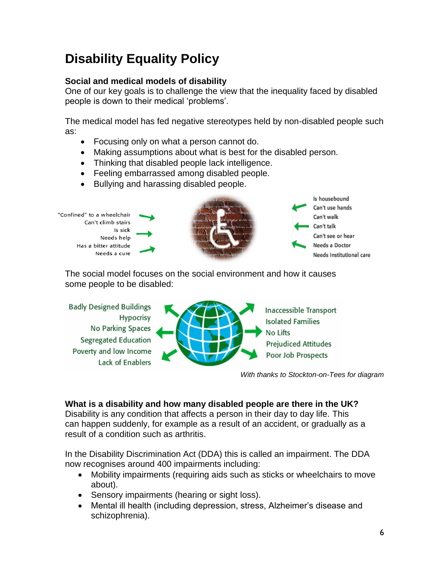# **Disability Equality Policy**

### **Social and medical models of disability**

One of our key goals is to challenge the view that the inequality faced by disabled people is down to their medical 'problems'.

The medical model has fed negative stereotypes held by non-disabled people such as:

- Focusing only on what a person cannot do.
- Making assumptions about what is best for the disabled person.
- Thinking that disabled people lack intelligence.
- Feeling embarrassed among disabled people.
- Bullying and harassing disabled people.



The social model focuses on the social environment and how it causes some people to be disabled:

**Badly Designed Buildings** Hypocrisy No Parking Spaces **Segregated Education** Poverty and low Income Lack of Enablers



*With thanks to Stockton-on-Tees for diagram*

### **What is a disability and how many disabled people are there in the UK?**

Disability is any condition that affects a person in their day to day life. This can happen suddenly, for example as a result of an accident, or gradually as a result of a condition such as arthritis.

In the Disability Discrimination Act (DDA) this is called an impairment. The DDA now recognises around 400 impairments including:

- Mobility impairments (requiring aids such as sticks or wheelchairs to move about).
- Sensory impairments (hearing or sight loss).
- Mental ill health (including depression, stress, Alzheimer's disease and schizophrenia).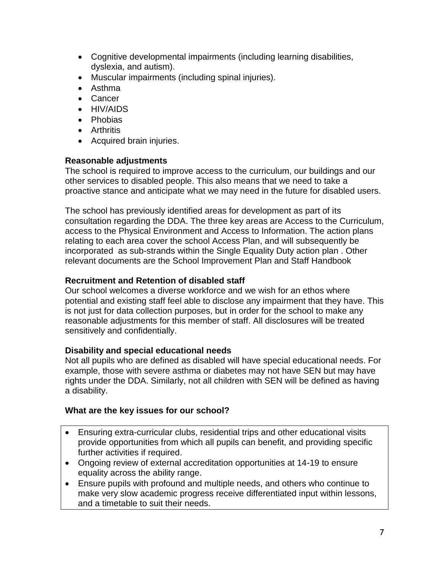- Cognitive developmental impairments (including learning disabilities, dyslexia, and autism).
- Muscular impairments (including spinal injuries).
- Asthma
- Cancer
- HIV/AIDS
- Phobias
- **•** Arthritis
- Acquired brain injuries.

### **Reasonable adjustments**

The school is required to improve access to the curriculum, our buildings and our other services to disabled people. This also means that we need to take a proactive stance and anticipate what we may need in the future for disabled users.

The school has previously identified areas for development as part of its consultation regarding the DDA. The three key areas are Access to the Curriculum, access to the Physical Environment and Access to Information. The action plans relating to each area cover the school Access Plan, and will subsequently be incorporated as sub-strands within the Single Equality Duty action plan . Other relevant documents are the School Improvement Plan and Staff Handbook

### **Recruitment and Retention of disabled staff**

Our school welcomes a diverse workforce and we wish for an ethos where potential and existing staff feel able to disclose any impairment that they have. This is not just for data collection purposes, but in order for the school to make any reasonable adjustments for this member of staff. All disclosures will be treated sensitively and confidentially.

### **Disability and special educational needs**

Not all pupils who are defined as disabled will have special educational needs. For example, those with severe asthma or diabetes may not have SEN but may have rights under the DDA. Similarly, not all children with SEN will be defined as having a disability.

### **What are the key issues for our school?**

- Ensuring extra-curricular clubs, residential trips and other educational visits provide opportunities from which all pupils can benefit, and providing specific further activities if required.
- Ongoing review of external accreditation opportunities at 14-19 to ensure equality across the ability range.
- Ensure pupils with profound and multiple needs, and others who continue to make very slow academic progress receive differentiated input within lessons, and a timetable to suit their needs.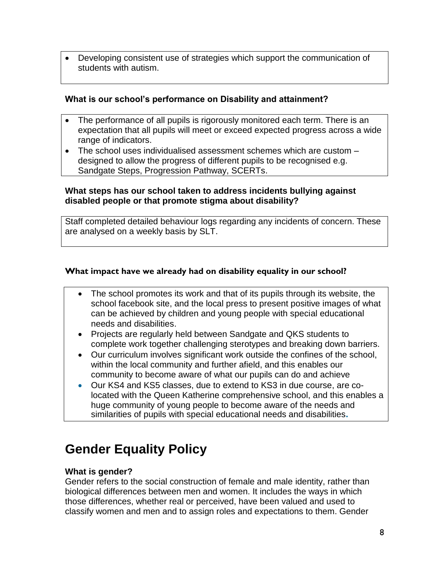Developing consistent use of strategies which support the communication of students with autism.

### **What is our school's performance on Disability and attainment?**

- The performance of all pupils is rigorously monitored each term. There is an expectation that all pupils will meet or exceed expected progress across a wide range of indicators.
- The school uses individualised assessment schemes which are custom designed to allow the progress of different pupils to be recognised e.g. Sandgate Steps, Progression Pathway, SCERTs.

#### **What steps has our school taken to address incidents bullying against disabled people or that promote stigma about disability?**

Staff completed detailed behaviour logs regarding any incidents of concern. These are analysed on a weekly basis by SLT.

### **What impact have we already had on disability equality in our school?**

- The school promotes its work and that of its pupils through its website, the school facebook site, and the local press to present positive images of what can be achieved by children and young people with special educational needs and disabilities.
- Projects are regularly held between Sandgate and QKS students to complete work together challenging sterotypes and breaking down barriers.
- Our curriculum involves significant work outside the confines of the school, within the local community and further afield, and this enables our community to become aware of what our pupils can do and achieve
- Our KS4 and KS5 classes, due to extend to KS3 in due course, are colocated with the Queen Katherine comprehensive school, and this enables a huge community of young people to become aware of the needs and similarities of pupils with special educational needs and disabilities**.**

### **Gender Equality Policy**

### **What is gender?**

Gender refers to the social construction of female and male identity, rather than biological differences between men and women. It includes the ways in which those differences, whether real or perceived, have been valued and used to classify women and men and to assign roles and expectations to them. Gender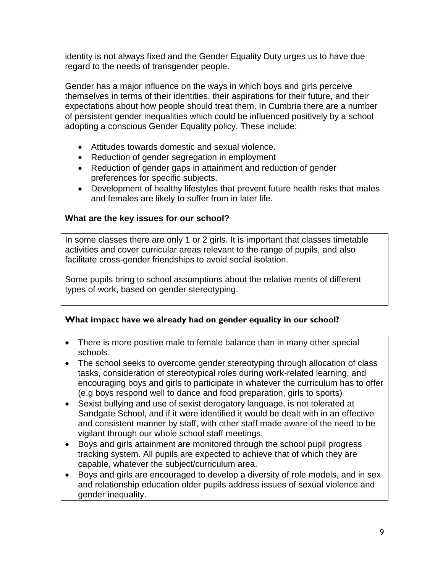identity is not always fixed and the Gender Equality Duty urges us to have due regard to the needs of transgender people.

Gender has a major influence on the ways in which boys and girls perceive themselves in terms of their identities, their aspirations for their future, and their expectations about how people should treat them. In Cumbria there are a number of persistent gender inequalities which could be influenced positively by a school adopting a conscious Gender Equality policy. These include:

- Attitudes towards domestic and sexual violence.
- Reduction of gender segregation in employment
- Reduction of gender gaps in attainment and reduction of gender preferences for specific subjects.
- Development of healthy lifestyles that prevent future health risks that males and females are likely to suffer from in later life.

### **What are the key issues for our school?**

In some classes there are only 1 or 2 girls. It is important that classes timetable activities and cover curricular areas relevant to the range of pupils, and also facilitate cross-gender friendships to avoid social isolation.

Some pupils bring to school assumptions about the relative merits of different types of work, based on gender stereotyping.

#### **What impact have we already had on gender equality in our school?**

- There is more positive male to female balance than in many other special schools.
- The school seeks to overcome gender stereotyping through allocation of class tasks, consideration of stereotypical roles during work-related learning, and encouraging boys and girls to participate in whatever the curriculum has to offer (e.g boys respond well to dance and food preparation, girls to sports)
- Sexist bullying and use of sexist derogatory language, is not tolerated at Sandgate School, and if it were identified it would be dealt with in an effective and consistent manner by staff, with other staff made aware of the need to be vigilant through our whole school staff meetings.
- Boys and girls attainment are monitored through the school pupil progress tracking system. All pupils are expected to achieve that of which they are capable, whatever the subject/curriculum area.
- Boys and girls are encouraged to develop a diversity of role models, and in sex and relationship education older pupils address issues of sexual violence and gender inequality.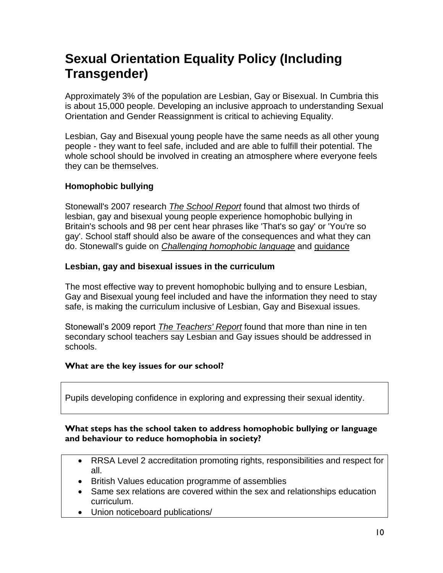### **Sexual Orientation Equality Policy (Including Transgender)**

Approximately 3% of the population are Lesbian, Gay or Bisexual. In Cumbria this is about 15,000 people. Developing an inclusive approach to understanding Sexual Orientation and Gender Reassignment is critical to achieving Equality.

Lesbian, Gay and Bisexual young people have the same needs as all other young people - they want to feel safe, included and are able to fulfill their potential. The whole school should be involved in creating an atmosphere where everyone feels they can be themselves.

### **Homophobic bullying**

Stonewall's 2007 research *[The School Report](http://www.stonewall.org.uk/at_school/education_for_all/quick_links/education_resources/4004.asp)* found that almost two thirds of lesbian, gay and bisexual young people experience homophobic bullying in Britain's schools and 98 per cent hear phrases like 'That's so gay' or 'You're so gay'. School staff should also be aware of the consequences and what they can do. Stonewall's guide on *[Challenging homophobic language](http://www.stonewall.org.uk/at_school/education_for_all/quick_links/education_resources/4006.asp)* and [guidance](http://www.stonewall.org.uk/at_school/education_for_all/quick_links/education_resources/4005.asp)

### **Lesbian, gay and bisexual issues in the curriculum**

The most effective way to prevent homophobic bullying and to ensure Lesbian, Gay and Bisexual young feel included and have the information they need to stay safe, is making the curriculum inclusive of Lesbian, Gay and Bisexual issues.

Stonewall's 2009 report *[The Teachers' Report](http://www.stonewall.org.uk/at_school/education_for_all/quick_links/education_resources/4003.asp)* found that more than nine in ten secondary school teachers say Lesbian and Gay issues should be addressed in schools.

#### **What are the key issues for our school?**

Pupils developing confidence in exploring and expressing their sexual identity.

#### **What steps has the school taken to address homophobic bullying or language and behaviour to reduce homophobia in society?**

- RRSA Level 2 accreditation promoting rights, responsibilities and respect for all.
- British Values education programme of assemblies
- Same sex relations are covered within the sex and relationships education curriculum.
- Union noticeboard publications/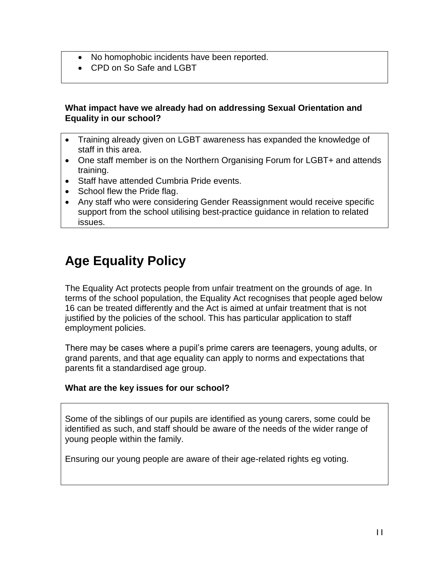- No homophobic incidents have been reported.
- CPD on So Safe and LGBT

#### **What impact have we already had on addressing Sexual Orientation and Equality in our school?**

- Training already given on LGBT awareness has expanded the knowledge of staff in this area.
- One staff member is on the Northern Organising Forum for LGBT+ and attends training.
- Staff have attended Cumbria Pride events.
- School flew the Pride flag.
- Any staff who were considering Gender Reassignment would receive specific support from the school utilising best-practice guidance in relation to related issues.

# **Age Equality Policy**

The Equality Act protects people from unfair treatment on the grounds of age. In terms of the school population, the Equality Act recognises that people aged below 16 can be treated differently and the Act is aimed at unfair treatment that is not justified by the policies of the school. This has particular application to staff employment policies.

There may be cases where a pupil's prime carers are teenagers, young adults, or grand parents, and that age equality can apply to norms and expectations that parents fit a standardised age group.

### **What are the key issues for our school?**

Some of the siblings of our pupils are identified as young carers, some could be identified as such, and staff should be aware of the needs of the wider range of young people within the family.

Ensuring our young people are aware of their age-related rights eg voting.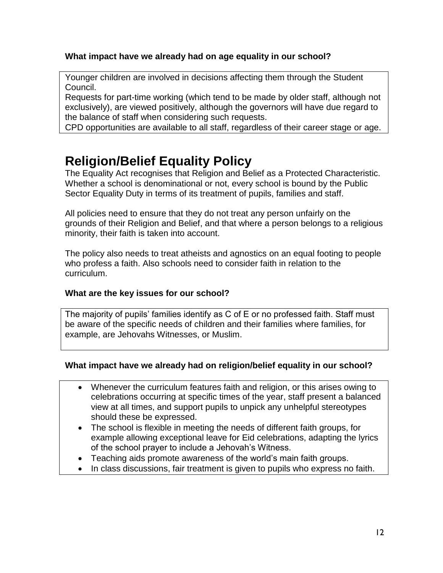### **What impact have we already had on age equality in our school?**

Younger children are involved in decisions affecting them through the Student Council.

Requests for part-time working (which tend to be made by older staff, although not exclusively), are viewed positively, although the governors will have due regard to the balance of staff when considering such requests.

CPD opportunities are available to all staff, regardless of their career stage or age.

### **Religion/Belief Equality Policy**

The Equality Act recognises that Religion and Belief as a Protected Characteristic. Whether a school is denominational or not, every school is bound by the Public Sector Equality Duty in terms of its treatment of pupils, families and staff.

All policies need to ensure that they do not treat any person unfairly on the grounds of their Religion and Belief, and that where a person belongs to a religious minority, their faith is taken into account.

The policy also needs to treat atheists and agnostics on an equal footing to people who profess a faith. Also schools need to consider faith in relation to the curriculum.

#### **What are the key issues for our school?**

The majority of pupils' families identify as C of E or no professed faith. Staff must be aware of the specific needs of children and their families where families, for example, are Jehovahs Witnesses, or Muslim.

#### **What impact have we already had on religion/belief equality in our school?**

- Whenever the curriculum features faith and religion, or this arises owing to celebrations occurring at specific times of the year, staff present a balanced view at all times, and support pupils to unpick any unhelpful stereotypes should these be expressed.
- The school is flexible in meeting the needs of different faith groups, for example allowing exceptional leave for Eid celebrations, adapting the lyrics of the school prayer to include a Jehovah's Witness.
- Teaching aids promote awareness of the world's main faith groups.
- In class discussions, fair treatment is given to pupils who express no faith.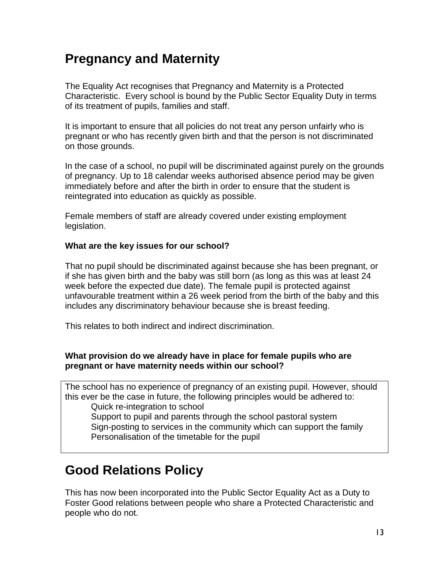### **Pregnancy and Maternity**

The Equality Act recognises that Pregnancy and Maternity is a Protected Characteristic. Every school is bound by the Public Sector Equality Duty in terms of its treatment of pupils, families and staff.

It is important to ensure that all policies do not treat any person unfairly who is pregnant or who has recently given birth and that the person is not discriminated on those grounds.

In the case of a school, no pupil will be discriminated against purely on the grounds of pregnancy. Up to 18 calendar weeks authorised absence period may be given immediately before and after the birth in order to ensure that the student is reintegrated into education as quickly as possible.

Female members of staff are already covered under existing employment legislation.

#### **What are the key issues for our school?**

That no pupil should be discriminated against because she has been pregnant, or if she has given birth and the baby was still born (as long as this was at least 24 week before the expected due date). The female pupil is protected against unfavourable treatment within a 26 week period from the birth of the baby and this includes any discriminatory behaviour because she is breast feeding.

This relates to both indirect and indirect discrimination.

### **What provision do we already have in place for female pupils who are pregnant or have maternity needs within our school?**

The school has no experience of pregnancy of an existing pupil. However, should this ever be the case in future, the following principles would be adhered to: Quick re-integration to school Support to pupil and parents through the school pastoral system

Sign-posting to services in the community which can support the family Personalisation of the timetable for the pupil

### **Good Relations Policy**

This has now been incorporated into the Public Sector Equality Act as a Duty to Foster Good relations between people who share a Protected Characteristic and people who do not.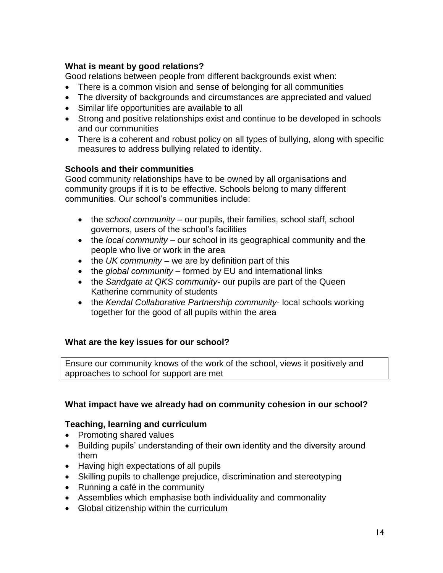### **What is meant by good relations?**

Good relations between people from different backgrounds exist when:

- There is a common vision and sense of belonging for all communities
- The diversity of backgrounds and circumstances are appreciated and valued
- Similar life opportunities are available to all
- Strong and positive relationships exist and continue to be developed in schools and our communities
- There is a coherent and robust policy on all types of bullying, along with specific measures to address bullying related to identity.

### **Schools and their communities**

Good community relationships have to be owned by all organisations and community groups if it is to be effective. Schools belong to many different communities. Our school's communities include:

- the *school community* our pupils, their families, school staff, school governors, users of the school's facilities
- the *local community* our school in its geographical community and the people who live or work in the area
- the *UK community* we are by definition part of this
- the *global community* formed by EU and international links
- the *Sandgate at QKS community* our pupils are part of the Queen Katherine community of students
- the *Kendal Collaborative Partnership community* local schools working together for the good of all pupils within the area

### **What are the key issues for our school?**

Ensure our community knows of the work of the school, views it positively and approaches to school for support are met

### **What impact have we already had on community cohesion in our school?**

#### **Teaching, learning and curriculum**

- Promoting shared values
- Building pupils' understanding of their own identity and the diversity around them
- Having high expectations of all pupils
- Skilling pupils to challenge prejudice, discrimination and stereotyping
- Running a café in the community
- Assemblies which emphasise both individuality and commonality
- Global citizenship within the curriculum